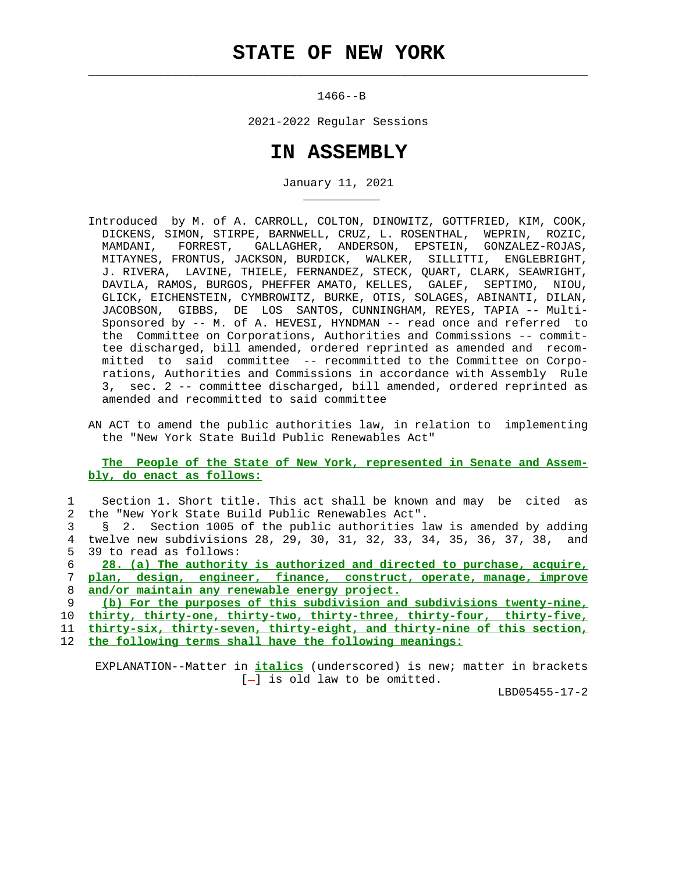$\mathcal{L}_\text{max} = \frac{1}{2} \sum_{i=1}^{n} \frac{1}{2} \sum_{i=1}^{n} \frac{1}{2} \sum_{i=1}^{n} \frac{1}{2} \sum_{i=1}^{n} \frac{1}{2} \sum_{i=1}^{n} \frac{1}{2} \sum_{i=1}^{n} \frac{1}{2} \sum_{i=1}^{n} \frac{1}{2} \sum_{i=1}^{n} \frac{1}{2} \sum_{i=1}^{n} \frac{1}{2} \sum_{i=1}^{n} \frac{1}{2} \sum_{i=1}^{n} \frac{1}{2} \sum_{i=1}^{n} \frac{1$ 

\_\_\_\_\_\_\_\_\_\_\_

1466--B

2021-2022 Regular Sessions

## **IN ASSEMBLY**

January 11, 2021

- Introduced by M. of A. CARROLL, COLTON, DINOWITZ, GOTTFRIED, KIM, COOK, DICKENS, SIMON, STIRPE, BARNWELL, CRUZ, L. ROSENTHAL, WEPRIN, ROZIC, MAMDANI, FORREST, GALLAGHER, ANDERSON, EPSTEIN, GONZALEZ-ROJAS, MITAYNES, FRONTUS, JACKSON, BURDICK, WALKER, SILLITTI, ENGLEBRIGHT, J. RIVERA, LAVINE, THIELE, FERNANDEZ, STECK, QUART, CLARK, SEAWRIGHT, DAVILA, RAMOS, BURGOS, PHEFFER AMATO, KELLES, GALEF, SEPTIMO, NIOU, GLICK, EICHENSTEIN, CYMBROWITZ, BURKE, OTIS, SOLAGES, ABINANTI, DILAN, JACOBSON, GIBBS, DE LOS SANTOS, CUNNINGHAM, REYES, TAPIA -- Multi- Sponsored by -- M. of A. HEVESI, HYNDMAN -- read once and referred to the Committee on Corporations, Authorities and Commissions -- commit tee discharged, bill amended, ordered reprinted as amended and recom mitted to said committee -- recommitted to the Committee on Corpo rations, Authorities and Commissions in accordance with Assembly Rule 3, sec. 2 -- committee discharged, bill amended, ordered reprinted as amended and recommitted to said committee
- AN ACT to amend the public authorities law, in relation to implementing the "New York State Build Public Renewables Act"

## **The People of the State of New York, represented in Senate and Assem bly, do enact as follows:**

 1 Section 1. Short title. This act shall be known and may be cited as 2 the "New York State Build Public Renewables Act".

 3 § 2. Section 1005 of the public authorities law is amended by adding 4 twelve new subdivisions 28, 29, 30, 31, 32, 33, 34, 35, 36, 37, 38, and 5 39 to read as follows:

 6 **28. (a) The authority is authorized and directed to purchase, acquire,** 7 **plan, design, engineer, finance, construct, operate, manage, improve** 8 **and/or maintain any renewable energy project.**

 9 **(b) For the purposes of this subdivision and subdivisions twenty-nine,** 10 **thirty, thirty-one, thirty-two, thirty-three, thirty-four, thirty-five,** 11 **thirty-six, thirty-seven, thirty-eight, and thirty-nine of this section,**

12 **the following terms shall have the following meanings:**

 EXPLANATION--Matter in **italics** (underscored) is new; matter in brackets  $[-]$  is old law to be omitted.

LBD05455-17-2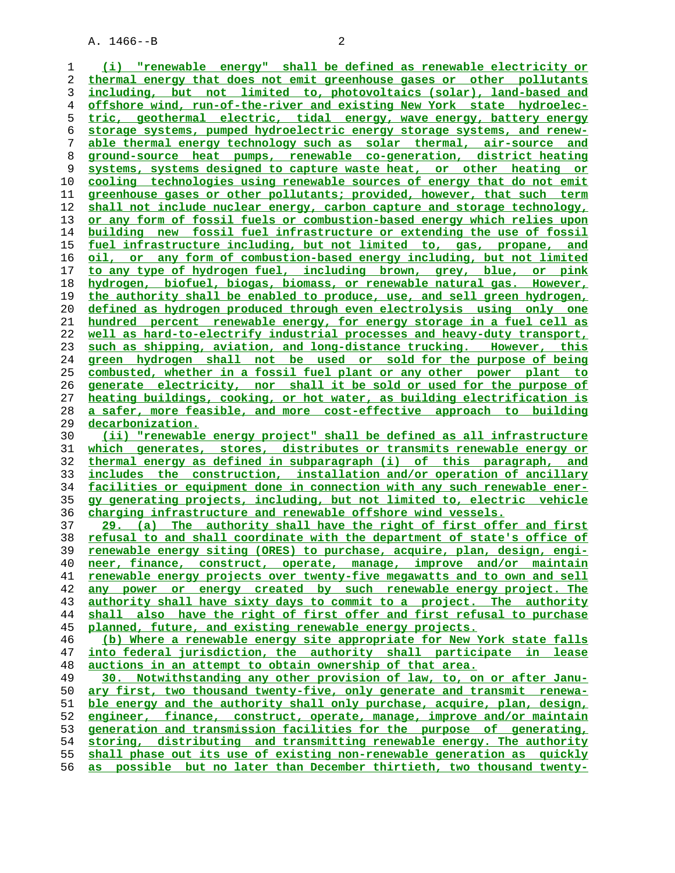**(i) "renewable energy" shall be defined as renewable electricity or thermal energy that does not emit greenhouse gases or other pollutants including, but not limited to, photovoltaics (solar), land-based and offshore wind, run-of-the-river and existing New York state hydroelec- tric, geothermal electric, tidal energy, wave energy, battery energy storage systems, pumped hydroelectric energy storage systems, and renew- able thermal energy technology such as solar thermal, air-source and ground-source heat pumps, renewable co-generation, district heating systems, systems designed to capture waste heat, or other heating or cooling technologies using renewable sources of energy that do not emit greenhouse gases or other pollutants; provided, however, that such term shall not include nuclear energy, carbon capture and storage technology, or any form of fossil fuels or combustion-based energy which relies upon building new fossil fuel infrastructure or extending the use of fossil fuel infrastructure including, but not limited to, gas, propane, and oil, or any form of combustion-based energy including, but not limited to any type of hydrogen fuel, including brown, grey, blue, or pink hydrogen, biofuel, biogas, biomass, or renewable natural gas. However, the authority shall be enabled to produce, use, and sell green hydrogen, defined as hydrogen produced through even electrolysis using only one hundred percent renewable energy, for energy storage in a fuel cell as well as hard-to-electrify industrial processes and heavy-duty transport, such as shipping, aviation, and long-distance trucking. However, this green hydrogen shall not be used or sold for the purpose of being combusted, whether in a fossil fuel plant or any other power plant to generate electricity, nor shall it be sold or used for the purpose of heating buildings, cooking, or hot water, as building electrification is a safer, more feasible, and more cost-effective approach to building decarbonization. (ii) "renewable energy project" shall be defined as all infrastructure which generates, stores, distributes or transmits renewable energy or thermal energy as defined in subparagraph (i) of this paragraph, and includes the construction, installation and/or operation of ancillary facilities or equipment done in connection with any such renewable ener- gy generating projects, including, but not limited to, electric vehicle charging infrastructure and renewable offshore wind vessels. 29. (a) The authority shall have the right of first offer and first refusal to and shall coordinate with the department of state's office of renewable energy siting (ORES) to purchase, acquire, plan, design, engi- neer, finance, construct, operate, manage, improve and/or maintain renewable energy projects over twenty-five megawatts and to own and sell any power or energy created by such renewable energy project. The authority shall have sixty days to commit to a project. The authority shall also have the right of first offer and first refusal to purchase planned, future, and existing renewable energy projects. (b) Where a renewable energy site appropriate for New York state falls into federal jurisdiction, the authority shall participate in lease auctions in an attempt to obtain ownership of that area. 30. Notwithstanding any other provision of law, to, on or after Janu** ary first, two thousand twenty-five, only generate and transmit renewa-**ble energy and the authority shall only purchase, acquire, plan, design, engineer, finance, construct, operate, manage, improve and/or maintain generation and transmission facilities for the purpose of generating, storing, distributing and transmitting renewable energy. The authority shall phase out its use of existing non-renewable generation as quickly as possible but no later than December thirtieth, two thousand twenty-**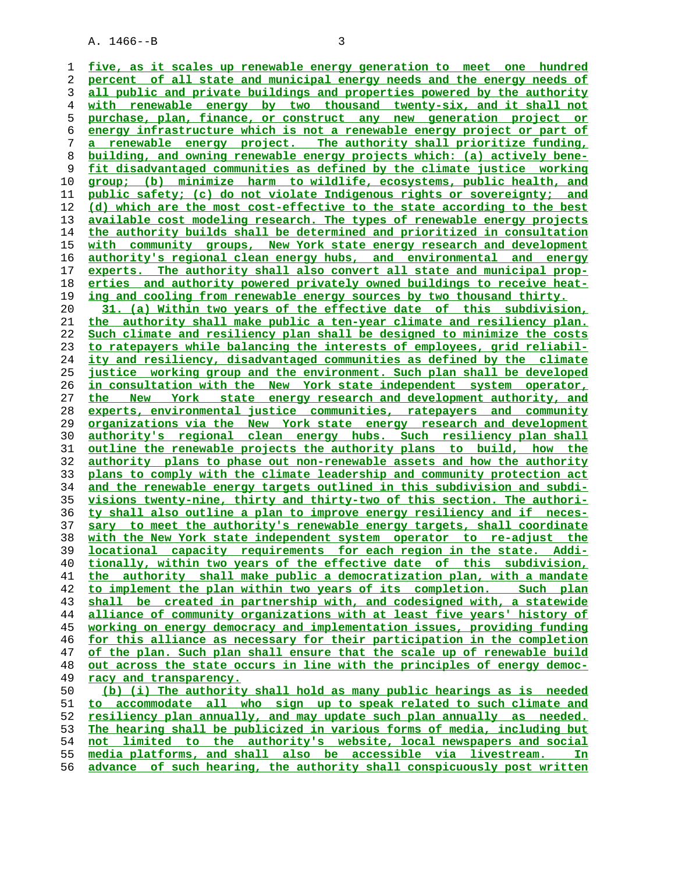A. 1466--B 3

**five, as it scales up renewable energy generation to meet one hundred percent of all state and municipal energy needs and the energy needs of all public and private buildings and properties powered by the authority with renewable energy by two thousand twenty-six, and it shall not purchase, plan, finance, or construct any new generation project or energy infrastructure which is not a renewable energy project or part of a renewable energy project. The authority shall prioritize funding, building, and owning renewable energy projects which: (a) actively bene- fit disadvantaged communities as defined by the climate justice working group; (b) minimize harm to wildlife, ecosystems, public health, and public safety; (c) do not violate Indigenous rights or sovereignty; and (d) which are the most cost-effective to the state according to the best available cost modeling research. The types of renewable energy projects the authority builds shall be determined and prioritized in consultation with community groups, New York state energy research and development authority's regional clean energy hubs, and environmental and energy experts. The authority shall also convert all state and municipal prop- erties and authority powered privately owned buildings to receive heat- ing and cooling from renewable energy sources by two thousand thirty. 31. (a) Within two years of the effective date of this subdivision, the authority shall make public a ten-year climate and resiliency plan. Such climate and resiliency plan shall be designed to minimize the costs to ratepayers while balancing the interests of employees, grid reliabil- ity and resiliency, disadvantaged communities as defined by the climate justice working group and the environment. Such plan shall be developed in consultation with the New York state independent system operator, the New York state energy research and development authority, and experts, environmental justice communities, ratepayers and community organizations via the New York state energy research and development authority's regional clean energy hubs. Such resiliency plan shall outline the renewable projects the authority plans to build, how the authority plans to phase out non-renewable assets and how the authority plans to comply with the climate leadership and community protection act and the renewable energy targets outlined in this subdivision and subdi- visions twenty-nine, thirty and thirty-two of this section. The authori- ty shall also outline a plan to improve energy resiliency and if neces- sary to meet the authority's renewable energy targets, shall coordinate with the New York state independent system operator to re-adjust the locational capacity requirements for each region in the state. Addi- tionally, within two years of the effective date of this subdivision, the authority shall make public a democratization plan, with a mandate to implement the plan within two years of its completion. Such plan shall be created in partnership with, and codesigned with, a statewide alliance of community organizations with at least five years' history of working on energy democracy and implementation issues, providing funding for this alliance as necessary for their participation in the completion of the plan. Such plan shall ensure that the scale up of renewable build out across the state occurs in line with the principles of energy democ- racy and transparency.**<br>50 **(b) (i) The authority (b) (i) The authority shall hold as many public hearings as is needed to accommodate all who sign up to speak related to such climate and resiliency plan annually, and may update such plan annually as needed. The hearing shall be publicized in various forms of media, including but not limited to the authority's website, local newspapers and social media platforms, and shall also be accessible via livestream. In**

**advance of such hearing, the authority shall conspicuously post written**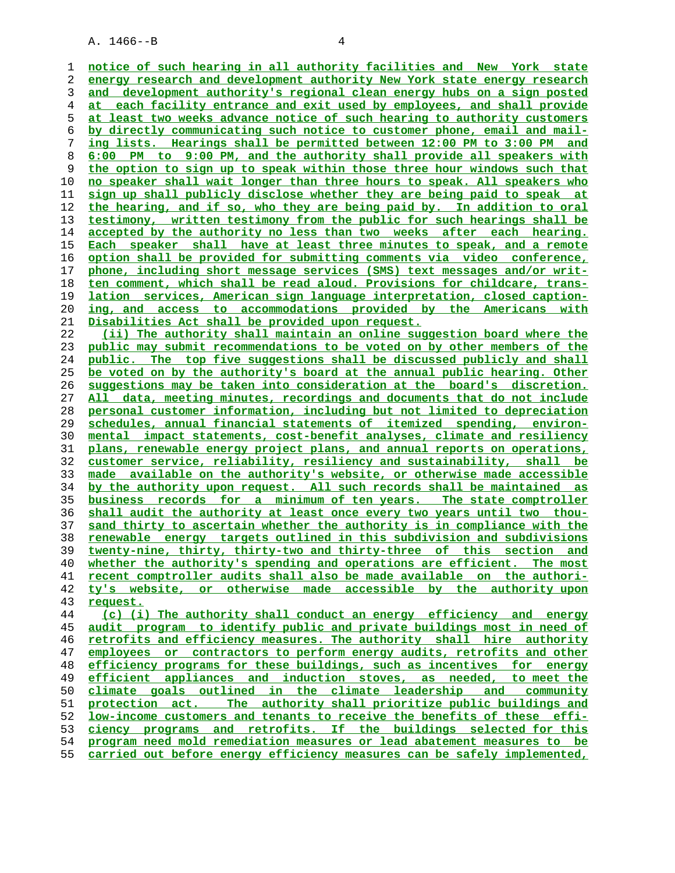**notice of such hearing in all authority facilities and New York state energy research and development authority New York state energy research and development authority's regional clean energy hubs on a sign posted at each facility entrance and exit used by employees, and shall provide at least two weeks advance notice of such hearing to authority customers by directly communicating such notice to customer phone, email and mail- ing lists. Hearings shall be permitted between 12:00 PM to 3:00 PM and 6:00 PM to 9:00 PM, and the authority shall provide all speakers with the option to sign up to speak within those three hour windows such that no speaker shall wait longer than three hours to speak. All speakers who sign up shall publicly disclose whether they are being paid to speak at the hearing, and if so, who they are being paid by. In addition to oral testimony, written testimony from the public for such hearings shall be accepted by the authority no less than two weeks after each hearing. Each speaker shall have at least three minutes to speak, and a remote option shall be provided for submitting comments via video conference, phone, including short message services (SMS) text messages and/or writ- ten comment, which shall be read aloud. Provisions for childcare, trans- lation services, American sign language interpretation, closed caption- ing, and access to accommodations provided by the Americans with Disabilities Act shall be provided upon request. (ii) The authority shall maintain an online suggestion board where the public may submit recommendations to be voted on by other members of the public. The top five suggestions shall be discussed publicly and shall be voted on by the authority's board at the annual public hearing. Other suggestions may be taken into consideration at the board's discretion. All data, meeting minutes, recordings and documents that do not include personal customer information, including but not limited to depreciation schedules, annual financial statements of itemized spending, environ- mental impact statements, cost-benefit analyses, climate and resiliency plans, renewable energy project plans, and annual reports on operations, customer service, reliability, resiliency and sustainability, shall be made available on the authority's website, or otherwise made accessible by the authority upon request. All such records shall be maintained as business records for a minimum of ten years. The state comptroller shall audit the authority at least once every two years until two thou- sand thirty to ascertain whether the authority is in compliance with the renewable energy targets outlined in this subdivision and subdivisions twenty-nine, thirty, thirty-two and thirty-three of this section and whether the authority's spending and operations are efficient. The most recent comptroller audits shall also be made available on the authori- ty's website, or otherwise made accessible by the authority upon request. (c) (i) The authority shall conduct an energy efficiency and energy audit program to identify public and private buildings most in need of retrofits and efficiency measures. The authority shall hire authority employees or contractors to perform energy audits, retrofits and other efficiency programs for these buildings, such as incentives for energy efficient appliances and induction stoves, as needed, to meet the**

**climate goals outlined in the climate leadership and community protection act. The authority shall prioritize public buildings and low-income customers and tenants to receive the benefits of these effi- ciency programs and retrofits. If the buildings selected for this**

**program need mold remediation measures or lead abatement measures to be**

**carried out before energy efficiency measures can be safely implemented,**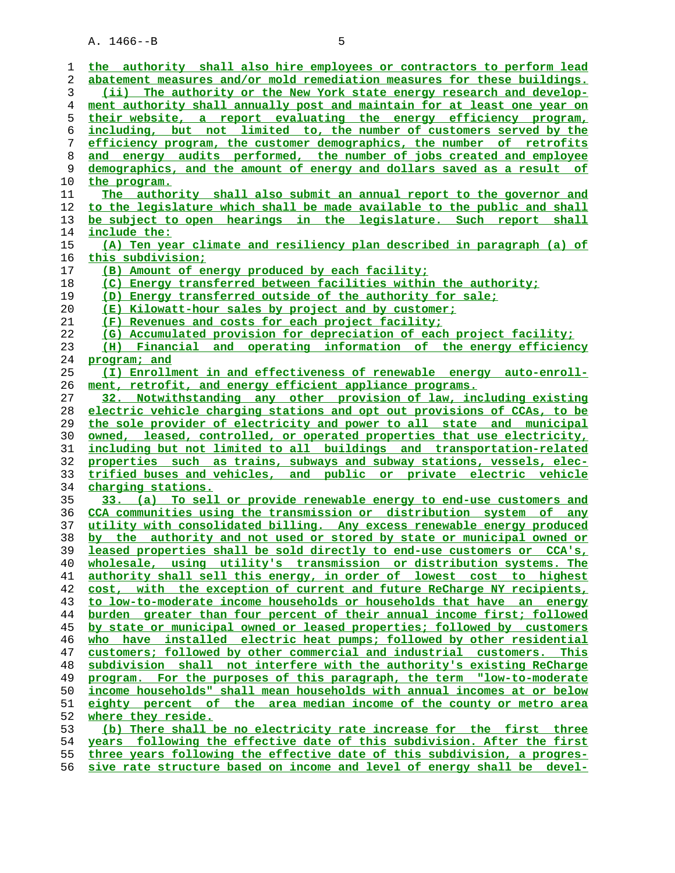A. 1466--B 5

| ı        | the authority shall also hire employees or contractors to perform lead                                                                             |
|----------|----------------------------------------------------------------------------------------------------------------------------------------------------|
| 2        | abatement measures and/or mold remediation measures for these buildings.                                                                           |
| 3        | (ii) The authority or the New York state energy research and develop-                                                                              |
| 4        | ment authority shall annually post and maintain for at least one year on                                                                           |
| 5        | their website, a report evaluating the energy efficiency program,                                                                                  |
| 6        | including, but not limited to, the number of customers served by the                                                                               |
| 7        | efficiency program, the customer demographics, the number of retrofits                                                                             |
| 8        | and energy audits performed, the number of jobs created and employee                                                                               |
| 9        | demographics, and the amount of energy and dollars saved as a result of                                                                            |
| 10       | the program.                                                                                                                                       |
| 11       | The authority shall also submit an annual report to the governor and                                                                               |
| 12       | to the legislature which shall be made available to the public and shall                                                                           |
| 13       | be subject to open hearings in the legislature. Such report shall                                                                                  |
| 14       | include the:                                                                                                                                       |
| 15       | (A) Ten year climate and resiliency plan described in paragraph (a) of                                                                             |
| 16       | this subdivision;                                                                                                                                  |
| 17       | (B) Amount of energy produced by each facility;                                                                                                    |
| 18       | (C) Energy transferred between facilities within the authority;                                                                                    |
| 19       | (D) Energy transferred outside of the authority for sale;                                                                                          |
| 20       | (E) Kilowatt-hour sales by project and by customer;                                                                                                |
| 21       | (F) Revenues and costs for each project facility;                                                                                                  |
| 22       | (G) Accumulated provision for depreciation of each project facility;                                                                               |
| 23       | (H) Financial and operating information of the energy efficiency                                                                                   |
| 24       | program; and                                                                                                                                       |
| 25       | (I) Enrollment in and effectiveness of renewable energy auto-enroll-                                                                               |
| 26       | ment, retrofit, and energy efficient appliance programs.                                                                                           |
| 27       | 32. Notwithstanding any other provision of law, including existing                                                                                 |
| 28       | electric vehicle charging stations and opt out provisions of CCAs, to be                                                                           |
| 29       | the sole provider of electricity and power to all state and municipal                                                                              |
| 30       |                                                                                                                                                    |
| 31       | owned, leased, controlled, or operated properties that use electricity,<br>including but not limited to all buildings and transportation-related   |
|          |                                                                                                                                                    |
| 32<br>33 | properties such as trains, subways and subway stations, vessels, elec-                                                                             |
|          | trified buses and vehicles, and public or private electric vehicle                                                                                 |
| 34       | charging stations.                                                                                                                                 |
| 35       | 33. (a) To sell or provide renewable energy to end-use customers and                                                                               |
| 36       | CCA communities using the transmission or distribution system of any                                                                               |
| 37       | utility with consolidated billing. Any excess renewable energy produced                                                                            |
| 38       | by the authority and not used or stored by state or municipal owned or                                                                             |
| 39       | leased properties shall be sold directly to end-use customers or CCA's,                                                                            |
| 40       | wholesale, using utility's transmission or distribution systems. The                                                                               |
| 41       | authority shall sell this energy, in order of lowest cost to highest                                                                               |
| 42       | cost, with the exception of current and future ReCharge NY recipients,                                                                             |
| 43       | to low-to-moderate income households or households that have an energy                                                                             |
| 44       | burden greater than four percent of their annual income first; followed                                                                            |
| 45       | by state or municipal owned or leased properties; followed by customers                                                                            |
| 46<br>47 | who have installed electric heat pumps; followed by other residential<br>customers; followed by other commercial and industrial customers. This    |
|          | subdivision shall not interfere with the authority's existing ReCharge                                                                             |
| 48<br>49 |                                                                                                                                                    |
| 50       | program. For the purposes of this paragraph, the term "low-to-moderate<br>income households" shall mean households with annual incomes at or below |
| 51       | eighty percent of the area median income of the county or metro area                                                                               |
| 52       | where they reside.                                                                                                                                 |
| 53       | (b) There shall be no electricity rate increase for the first three                                                                                |
| 54       | years following the effective date of this subdivision. After the first                                                                            |
| 55       | three years following the effective date of this subdivision, a progres-                                                                           |
|          |                                                                                                                                                    |

**sive rate structure based on income and level of energy shall be devel-**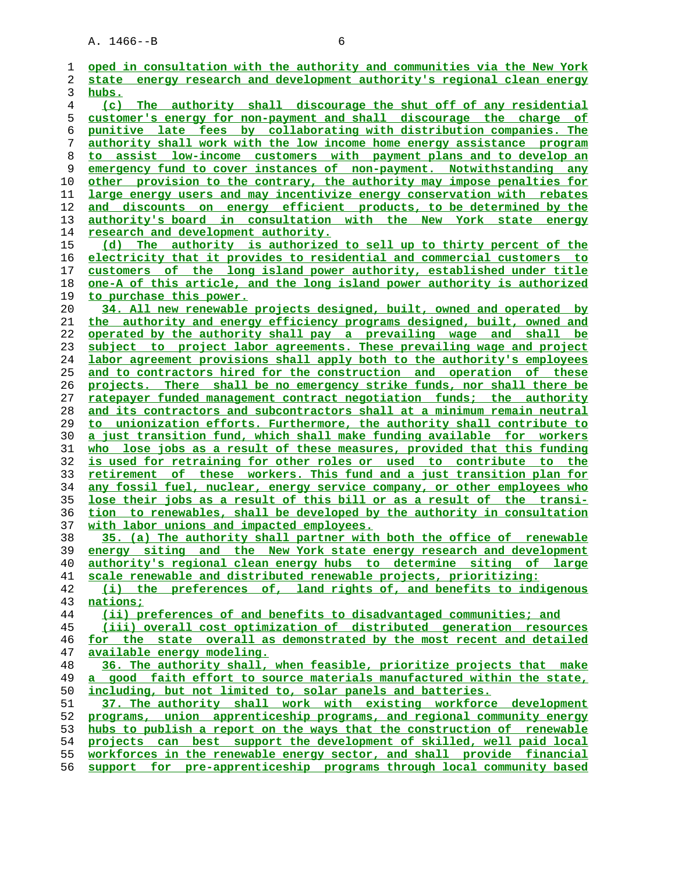| 1              | oped in consultation with the authority and communities via the New York    |
|----------------|-----------------------------------------------------------------------------|
| 2              | state energy research and development authority's regional clean energy     |
| 3              | hubs.                                                                       |
| $\overline{4}$ | (c)<br>The authority shall discourage the shut off of any residential       |
| 5              | customer's energy for non-payment and shall discourage the charge of        |
| 6              | punitive late fees by collaborating with distribution companies. The        |
| 7              | authority shall work with the low income home energy assistance program     |
| 8              | to assist low-income customers with payment plans and to develop an         |
| 9              | emergency fund to cover instances of non-payment. Notwithstanding any       |
| 10             | other provision to the contrary, the authority may impose penalties for     |
| 11             | large energy users and may incentivize energy conservation with rebates     |
| 12             | and discounts on energy efficient products, to be determined by the         |
| 13             | authority's board in consultation with the New York state energy            |
| 14             | research and development authority.                                         |
| 15             | (d) The authority is authorized to sell up to thirty percent of the         |
| 16             | electricity that it provides to residential and commercial customers to     |
| 17             | customers of the long island power authority, established under title       |
| 18             | one-A of this article, and the long island power authority is authorized    |
| 19             | to purchase this power.                                                     |
| 20             | 34. All new renewable projects designed, built, owned and operated by       |
| 21             | the authority and energy efficiency programs designed, built, owned and     |
| 22             | operated by the authority shall pay a prevailing wage and shall be          |
| 23             | subject to project labor agreements. These prevailing wage and project      |
| 24             | labor agreement provisions shall apply both to the authority's employees    |
| 25             | and to contractors hired for the construction and operation of these        |
| 26             | projects. There shall be no emergency strike funds, nor shall there be      |
| 27             | ratepayer funded management contract negotiation funds; the authority       |
| 28             | and its contractors and subcontractors shall at a minimum remain neutral    |
| 29             | to unionization efforts. Furthermore, the authority shall contribute to     |
| 30             | a just transition fund, which shall make funding available for workers      |
| 31             | who lose jobs as a result of these measures, provided that this funding     |
| 32             | is used for retraining for other roles or used to contribute to the         |
| 33             | retirement of these workers. This fund and a just transition plan for       |
| 34             | any fossil fuel, nuclear, energy service company, or other employees who    |
| 35             | lose their jobs as a result of this bill or as a result of the transi-      |
| 36             | tion to renewables, shall be developed by the authority in consultation     |
| 37             | with labor unions and impacted employees.                                   |
| 38             | 35. (a) The authority shall partner with both the office of renewable       |
| 39             | siting and the New York state energy research and development<br>energy     |
| 40             | authority's regional clean energy hubs to determine siting of large         |
| 41             | scale renewable and distributed renewable projects, prioritizing:           |
| 42             | (i) the preferences of, land rights of, and benefits to indigenous          |
| 43             | nations;                                                                    |
| 44             | (ii) preferences of and benefits to disadvantaged communities; and          |
| 45             | (iii) overall cost optimization of distributed generation resources         |
| 46             | for the state overall as demonstrated by the most recent and detailed       |
| 47             | available energy modeling.                                                  |
| 48             | 36. The authority shall, when feasible, prioritize projects that make       |
| 49             | good faith effort to source materials manufactured within the state,<br>a - |
| 50             | including, but not limited to, solar panels and batteries.                  |
| 51             | 37. The authority shall work with existing workforce development            |
| 52             | programs, union apprenticeship programs, and regional community energy      |
| 53             | hubs to publish a report on the ways that the construction of renewable     |
| 54             | projects can best support the development of skilled, well paid local       |
| 55             | workforces in the renewable energy sector, and shall provide financial      |
| 56             | support for pre-apprenticeship programs through local community based       |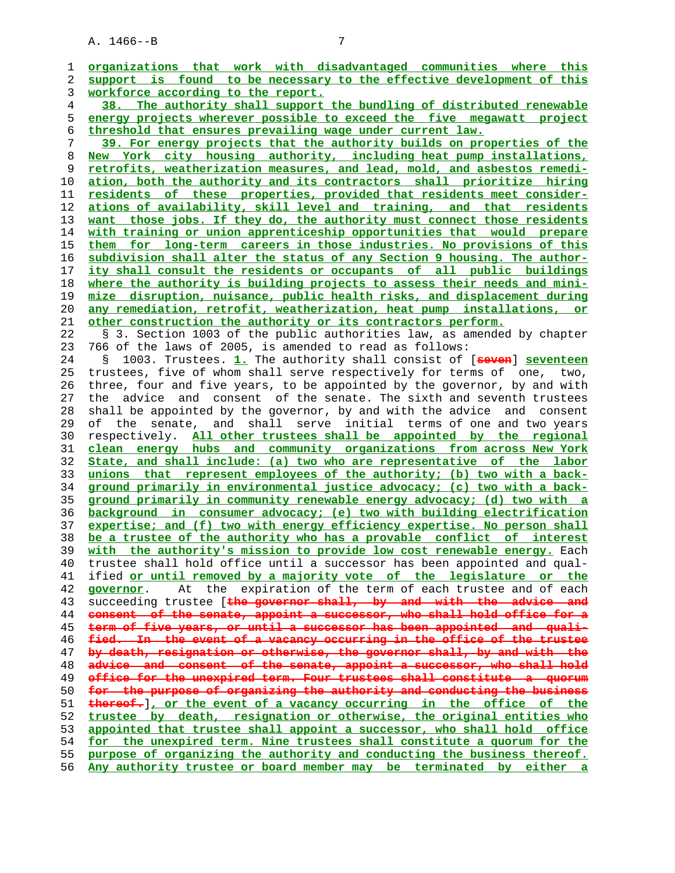A. 1466--B 7

**organizations that work with disadvantaged communities where this support is found to be necessary to the effective development of this workforce according to the report. 38. The authority shall support the bundling of distributed renewable energy projects wherever possible to exceed the five megawatt project threshold that ensures prevailing wage under current law. 39. For energy projects that the authority builds on properties of the New York city housing authority, including heat pump installations, retrofits, weatherization measures, and lead, mold, and asbestos remedi- ation, both the authority and its contractors shall prioritize hiring residents of these properties, provided that residents meet consider- ations of availability, skill level and training, and that residents want those jobs. If they do, the authority must connect those residents with training or union apprenticeship opportunities that would prepare them for long-term careers in those industries. No provisions of this subdivision shall alter the status of any Section 9 housing. The author- ity shall consult the residents or occupants of all public buildings where the authority is building projects to assess their needs and mini- mize disruption, nuisance, public health risks, and displacement during any remediation, retrofit, weatherization, heat pump installations, or other construction the authority or its contractors perform.** 22 § 3. Section 1003 of the public authorities law, as amended by chapter 23 766 of the laws of 2005, is amended to read as follows: 24 § 1003. Trustees. **1.** The authority shall consist of [**seven**] **seventeen** 25 trustees, five of whom shall serve respectively for terms of one, two, 26 three, four and five years, to be appointed by the governor, by and with 27 the advice and consent of the senate. The sixth and seventh trustees 28 shall be appointed by the governor, by and with the advice and consent 29 of the senate, and shall serve initial terms of one and two years 30 respectively. **All other trustees shall be appointed by the regional clean energy hubs and community organizations from across New York State, and shall include: (a) two who are representative of the labor unions that represent employees of the authority; (b) two with a back- ground primarily in environmental justice advocacy; (c) two with a back- ground primarily in community renewable energy advocacy; (d) two with a background in consumer advocacy; (e) two with building electrification expertise; and (f) two with energy efficiency expertise. No person shall be a trustee of the authority who has a provable conflict of interest with the authority's mission to provide low cost renewable energy.** Each 40 trustee shall hold office until a successor has been appointed and qual- 41 ified **or until removed by a majority vote of the legislature or the governor**. At the expiration of the term of each trustee and of each 43 succeeding trustee [**the governor shall, by and with the advice and consent of the senate, appoint a successor, who shall hold office for a term of five years, or until a successor has been appointed and quali- fied. In the event of a vacancy occurring in the office of the trustee by death, resignation or otherwise, the governor shall, by and with the advice and consent of the senate, appoint a successor, who shall hold office for the unexpired term. Four trustees shall constitute a quorum for the purpose of organizing the authority and conducting the business thereof.**]**, or the event of a vacancy occurring in the office of the trustee by death, resignation or otherwise, the original entities who appointed that trustee shall appoint a successor, who shall hold office for the unexpired term. Nine trustees shall constitute a quorum for the purpose of organizing the authority and conducting the business thereof.**

**Any authority trustee or board member may be terminated by either a**